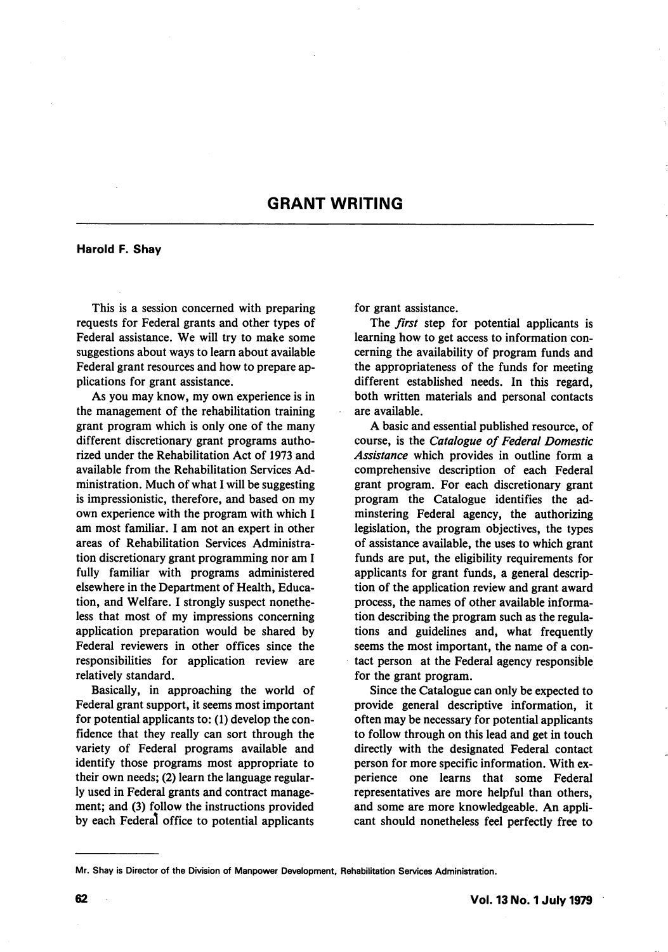## GRANT WRITING

Harold F. Shay

This is a session concerned with preparing requests for Federal grants and other types of Federal assistance. We will try to make some suggestions about ways to learn about available Federal grant resources and how to prepare ap plications for grant assistance.

As you may know, my own experience is in the management of the rehabilitation training grant program which is only one of the many different discretionary grant programs autho rized under the Rehabilitation Act of 1973 and available from the Rehabilitation Services Ad ministration. Much of what I will be suggesting is impressionistic, therefore, and based on my own experience with the program with which I am most familiar. I am not an expert in other areas of Rehabilitation Services Administra tion discretionary grant programming nor am I fully familiar with programs administered elsewhere in the Department of Health, Educa tion, and Welfare. I strongly suspect nonethe less that most of my impressions concerning application preparation would be shared by Federal reviewers in other offices since the responsibilities for application review are relatively standard.

Basically, in approaching the world of Federal grant support, it seems most important for potential applicants to: (1) develop the con fidence that they really can sort through the variety of Federal programs available and identify those programs most appropriate to their own needs; (2) learn the language regular ly used in Federal grants and contract manage ment; and (3) follow the instructions provided by each Federal office to potential applicants for grant assistance.

The *first* step for potential applicants is learning how to get access to information con cerning the availability of program funds and the appropriateness of the funds for meeting different established needs. In this regard, both written materials and personal contacts are available.

A basic and essential published resource, of course, is the Catalogue of Federal Domestic Assistance which provides in outline form a comprehensive description of each Federal grant program. For each discretionary grant program the Catalogue identifies the adminstering Federal agency, the authorizing legislation, the program objectives, the types of assistance available, the uses to which grant funds are put, the eligibility requirements for applicants for grant funds, a general descrip tion of the application review and grant award process, the names of other available informa tion describing the program such as the regula tions and guidelines and, what frequently seems the most important, the name of a con tact person at the Federal agency responsible for the grant program.

Since the Catalogue can only be expected to provide general descriptive information, it often may be necessary for potential applicants to follow through on this lead and get in touch directly with the designated Federal contact person for more specific information. With ex perience one learns that some Federal representatives are more helpful than others, and some are more knowledgeable. An appli cant should nonetheless feel perfectly free to

Mr. Shay is Director of the Division of Manpower Development, Rehabilitation Services Administration.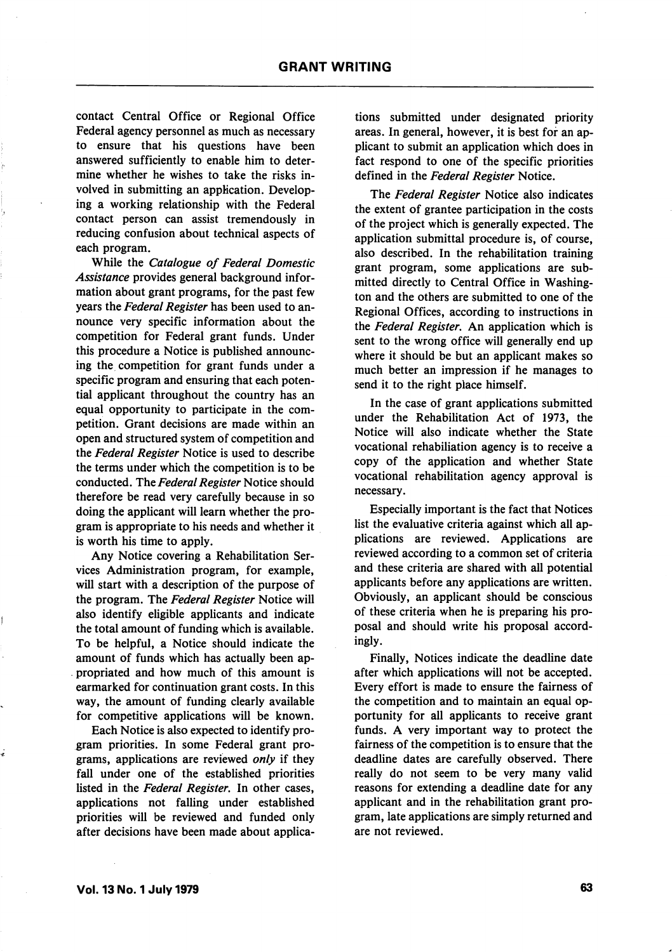contact Central Office or Regional Office Federal agency personnel as much as necessary to ensure that his questions have been answered sufficiently to enable him to deter mine whether he wishes to take the risks in volved in submitting an application. Developing a working relationship with the Federal contact person can assist tremendously in reducing confusion about technical aspects of each program.

While the Catalogue of Federal Domestic Assistance provides general background infor mation about grant programs, for the past few years the Federal Register has been used to announce very specific information about the competition for Federal grant funds. Under this procedure a Notice is published announc ing the competition for grant funds under a specific program and ensuring that each poten tial applicant throughout the country has an equal opportunity to participate in the com petition. Grant decisions are made within an open and structured system of competition and the Federal Register Notice is used to describe the terms under which the competition is to be conducted. The Federal Register Notice should therefore be read very carefully because in so doing the applicant will learn whether the pro gram is appropriate to his needs and whether it is worth his time to apply.

Any Notice covering a Rehabilitation Ser vices Administration program, for example, will start with a description of the purpose of the program. The Federal Register Notice will also identify eligible applicants and indicate the total amount of funding which is available. To be helpful, a Notice should indicate the amount of funds which has actually been ap propriated and how much of this amount is earmarked for continuation grant costs. In this way, the amount of funding clearly available for competitive applications will be known.

Each Notice is also expected to identify pro gram priorities. In some Federal grant pro grams, applications are reviewed only if they fall under one of the established priorities listed in the Federal Register, In other cases, applications not falling under established priorities will be reviewed and funded only after decisions have been made about applica

tions submitted under designated priority areas. In general, however, it is best for an ap plicant to submit an application which does in fact respond to one of the specific priorities defined in the Federal Register Notice.

The Federal Register Notice also indicates the extent of grantee participation in the costs of the project which is generally expected. The application submittal procedure is, of course, also described. In the rehabilitation training grant program, some applications are sub mitted directly to Central Office in Washing ton and the others are submitted to one of the Regional Offices, according to instructions in the Federal Register, An application which is sent to the wrong office will generally end up where it should be but an applicant makes so much better an impression if he manages to send it to the right place himself.

In the case of grant applications submitted under the Rehabilitation Act of 1973, the Notice will also indicate whether the State vocational rehabiliation agency is to receive a copy of the application and whether State vocational rehabilitation agency approval is necessary.

Especially important is the fact that Notices list the evaluative criteria against which all ap plications are reviewed. Applications are reviewed according to a common set of criteria and these criteria are shared with all potential applicants before any applications are written. Obviously, an applicant should be conscious of these criteria when he is preparing his pro posal and should write his proposal accord ingly.

Finally, Notices indicate the deadline date after which applications will not be accepted. Every effort is made to ensure the fairness of the competition and to maintain an equal op portunity for all applicants to receive grant funds. A very important way to protect the fairness of the competition is to ensure that the deadline dates are carefully observed. There really do not seem to be very many valid reasons for extending a deadline date for any applicant and in the rehabilitation grant pro gram, late applications are simply returned and are not reviewed.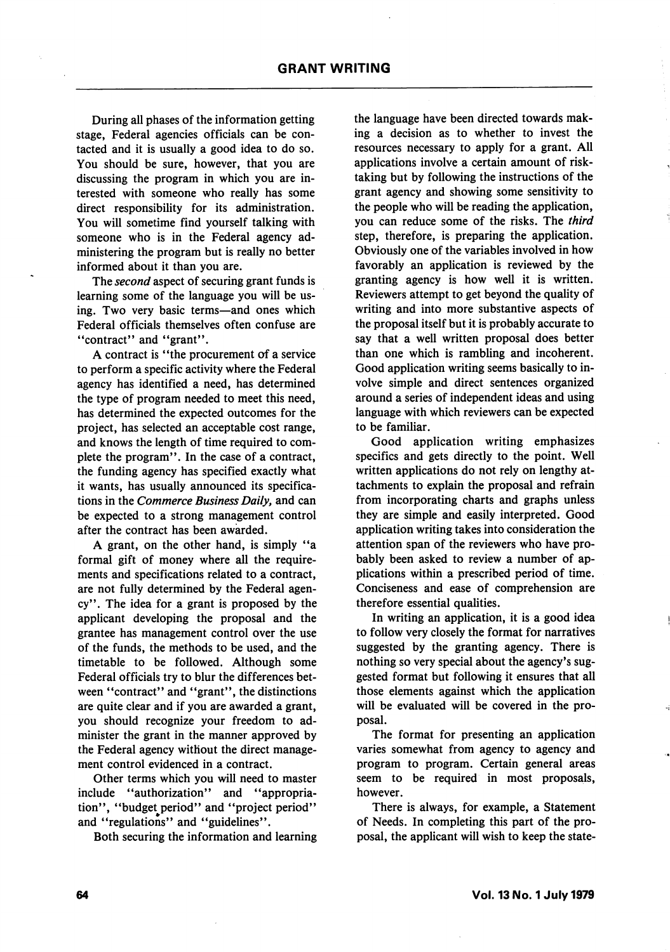During all phases of the information getting stage, Federal agencies officials can be con tacted and it is usually a good idea to do so. You should be sure, however, that you are discussing the program in which you are in terested with someone who really has some direct responsibility for its administration. You will sometime find yourself talking with someone who is in the Federal agency ad ministering the program but is really no better informed about it than you are.

The *second* aspect of securing grant funds is learning some of the language you will be us ing. Two very basic terms—and ones which Federal officials themselves often confuse are "contract" and "grant".

A contract is "the procurement of a service to perform a specific activity where the Federal agency has identified a need, has determined the type of program needed to meet this need, has determined the expected outcomes for the project, has selected an acceptable cost range, and knows the length of time required to com plete the program". In the case of a contract, the funding agency has specified exactly what it wants, has usually announced its specifica tions in the Commerce Business Daily, and can be expected to a strong management control after the contract has been awarded.

A grant, on the other hand, is simply "a formal gift of money where all the require ments and specifications related to a contract, are not fully determined by the Federal agen cy". The idea for a grant is proposed by the applicant developing the proposal and the grantee has management control over the use of the funds, the methods to be used, and the timetable to be followed. Although some Federal officials try to blur the differences bet ween "contract" and "grant", the distinctions are quite clear and if you are awarded a grant, you should recognize your freedom to ad minister the grant in the manner approved by the Federal agency without the direct manage ment control evidenced in a contract.

Other terms which you will need to master include "authorization" and "appropriation", "budget period" and "project period" and "regulations" and "guidelines".

Both securing the information and learning

the language have been directed towards mak ing a decision as to whether to invest the resources necessary to apply for a grant. All applications involve a certain amount of risktaking but by following the instructions of the grant agency and showing some sensitivity to the people who will be reading the application, you can reduce some of the risks. The third step, therefore, is preparing the application. Obviously one of the variables involved in how favorably an application is reviewed by the granting agency is how well it is written. Reviewers attempt to get beyond the quality of writing and into more substantive aspects of the proposal itself but it is probably accurate to say that a well written proposal does better than one which is rambling and incoherent. Good application writing seems basically to in volve simple and direct sentences organized around a series of independent ideas and using language with which reviewers can be expected to be familiar.

Good application writing emphasizes specifics and gets directly to the point. Well written applications do not rely on lengthy at tachments to explain the proposal and refrain from incorporating charts and graphs unless they are simple and easily interpreted. Good application writing takes into consideration the attention span of the reviewers who have pro bably been asked to review a number of ap plications within a prescribed period of time. Conciseness and ease of comprehension are therefore essential qualities.

In writing an application, it is a good idea to follow very closely the format for narratives suggested by the granting agency. There is nothing so very special about the agency's sug gested format but following it ensures that all those elements against which the application will be evaluated will be covered in the pro posal.

The format for presenting an application varies somewhat from agency to agency and program to program. Certain general areas seem to be required in most proposals, however.

There is always, for example, a Statement of Needs. In completing this part of the pro posal, the applicant will wish to keep the state-